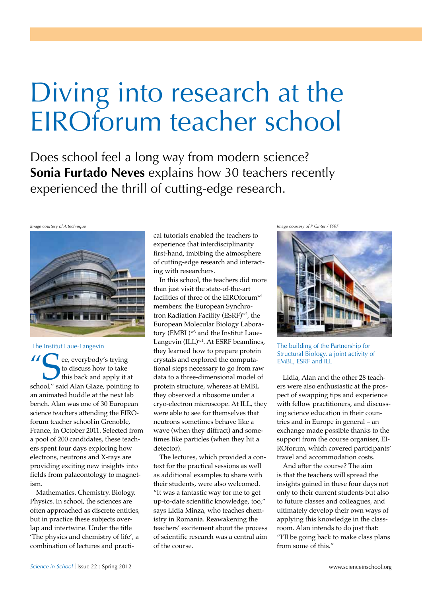## Diving into research at the EIROforum teacher school

Does school feel a long way from modern science? **Sonia Furtado Neves** explains how 30 teachers recently experienced the thrill of cutting-edge research.



 $\blacksquare$  ee, everybody's trying to discuss how to take this back and apply it at school," said Alan Glaze, pointing to an animated huddle at the next lab bench. Alan was one of 30 European science teachers attending the EIROforum teacher schoolin Grenoble, France, in October 2011. Selected from a pool of 200 candidates, these teachers spent four days exploring how electrons, neutrons and X-rays are providing exciting new insights into fields from palaeontology to magnetism.

Mathematics. Chemistry. Biology. Physics. In school, the sciences are often approached as discrete entities, but in practice these subjects overlap and intertwine. Under the title 'The physics and chemistry of life', a combination of lectures and practical tutorials enabled the teachers to experience that interdisciplinarity first-hand, imbibing the atmosphere of cutting-edge research and interacting with researchers.

In this school, the teachers did more than just visit the state-of-the-art facilities of three of the EIROforumw1 members: the European Synchrotron Radiation Facility (ESRF)<sup>w2</sup>, the European Molecular Biology Laboratory (EMBL)<sup>w3</sup> and the Institut Laue-Langevin (ILL)<sup>w4</sup>. At ESRF beamlines, they learned how to prepare protein crystals and explored the computational steps necessary to go from raw data to a three-dimensional model of protein structure, whereas at EMBL they observed a ribosome under a cryo-electron microscope. At ILL, they were able to see for themselves that neutrons sometimes behave like a wave (when they diffract) and sometimes like particles (when they hit a detector). The Institut Laue-Langevin Laughland Laughland Laughland The building of the Partnership for

> The lectures, which provided a context for the practical sessions as well as additional examples to share with their students, were also welcomed. "It was a fantastic way for me to get up-to-date scientific knowledge, too," says Lidia Minza, who teaches chemistry in Romania. Reawakening the teachers' excitement about the process of scientific research was a central aim of the course.

*Image courtesy of Artechnique Image courtesy of P Ginter / ESRF*



Structural Biology, a joint activity of EMBL, ESRF and ILL

Lidia, Alan and the other 28 teachers were also enthusiastic at the prospect of swapping tips and experience with fellow practitioners, and discussing science education in their countries and in Europe in general – an exchange made possible thanks to the support from the course organiser, EI-ROforum, which covered participants' travel and accommodation costs.

And after the course? The aim is that the teachers will spread the insights gained in these four days not only to their current students but also to future classes and colleagues, and ultimately develop their own ways of applying this knowledge in the classroom. Alan intends to do just that: "I'll be going back to make class plans from some of this."